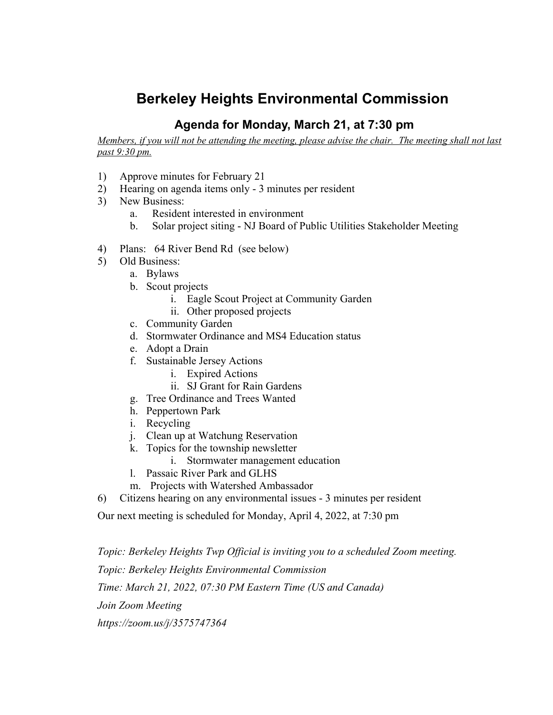# **Berkeley Heights Environmental Commission**

## **Agenda for Monday, March 21, at 7:30 pm**

Members, if you will not be attending the meeting, please advise the chair. The meeting shall not last *past 9:30 pm.*

- 1) Approve minutes for February 21
- 2) Hearing on agenda items only 3 minutes per resident
- 3) New Business:
	- a. Resident interested in environment
	- b. Solar project siting NJ Board of Public Utilities Stakeholder Meeting
- 4) Plans: 64 River Bend Rd (see below)
- 5) Old Business:
	- a. Bylaws
	- b. Scout projects
		- i. Eagle Scout Project at Community Garden
		- ii. Other proposed projects
	- c. Community Garden
	- d. Stormwater Ordinance and MS4 Education status
	- e. Adopt a Drain
	- f. Sustainable Jersey Actions
		- i. Expired Actions
		- ii. SJ Grant for Rain Gardens
	- g. Tree Ordinance and Trees Wanted
	- h. Peppertown Park
	- i. Recycling
	- j. Clean up at Watchung Reservation
	- k. Topics for the township newsletter
		- i. Stormwater management education
	- l. Passaic River Park and GLHS
	- m. Projects with Watershed Ambassador
- 6) Citizens hearing on any environmental issues 3 minutes per resident

Our next meeting is scheduled for Monday, April 4, 2022, at 7:30 pm

*Topic: Berkeley Heights Twp Official is inviting you to a scheduled Zoom meeting. Topic: Berkeley Heights Environmental Commission Time: March 21, 2022, 07:30 PM Eastern Time (US and Canada) Join Zoom Meeting https://zoom.us/j/3575747364*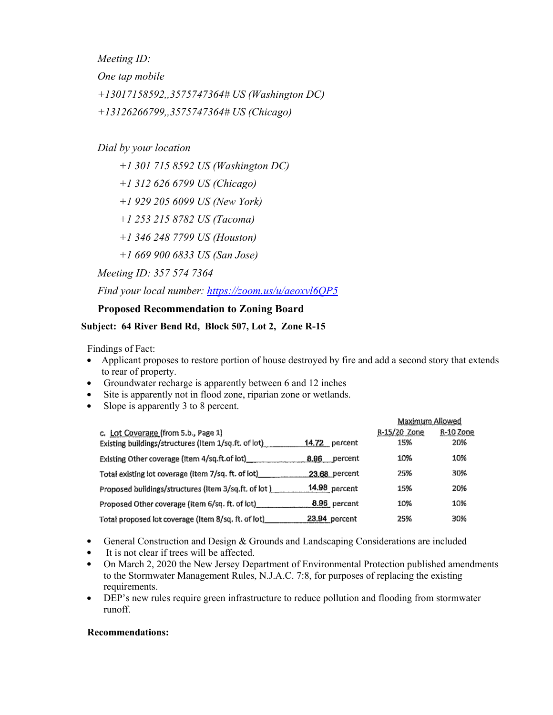*Meeting ID:*

*One tap mobile*

*+13017158592,,3575747364# US (Washington DC)*

*+13126266799,,3575747364# US (Chicago)*

### *Dial by your location*

*+1 301 715 8592 US (Washington DC)*

*+1 312 626 6799 US (Chicago)*

*+1 929 205 6099 US (New York)*

*+1 253 215 8782 US (Tacoma)*

*+1 346 248 7799 US (Houston)*

*+1 669 900 6833 US (San Jose)*

*Meeting ID: 357 574 7364*

*Find your local number: <https://zoom.us/u/aeoxvl6QP5>*

#### **Proposed Recommendation to Zoning Board**

#### **Subject: 64 River Bend Rd, Block 507, Lot 2, Zone R-15**

Findings of Fact:

- Applicant proposes to restore portion of house destroyed by fire and add a second story that extends to rear of property.
- Groundwater recharge is apparently between 6 and 12 inches
- Site is apparently not in flood zone, riparian zone or wetlands.
- Slope is apparently 3 to 8 percent.  $\bullet$

|                                                      |               | Maximum Allowed |           |
|------------------------------------------------------|---------------|-----------------|-----------|
| c. Lot Coverage (from 5.b., Page 1)                  |               | R-15/20 Zone    | R-10 Zone |
|                                                      | 14.72 percent | 15%             | 20%       |
| Existing Other coverage (item 4/sq.ft.of lot)        | 8.96 percent  | 10%             | 10%       |
| Total existing lot coverage (item 7/sq. ft. of lot)  | 23.68 percent | 25%             | 30%       |
| Proposed buildings/structures (item 3/sq.ft, of lot) | 14.98 percent | 15%             | 20%       |
| Proposed Other coverage (item 6/sq. ft. of lot)_     | 8.96 percent  | 10%             | 10%       |
| Total proposed lot coverage (item 8/sq. ft. of lot)  | 23.94 percent | 25%             | 30%       |

- General Construction and Design & Grounds and Landscaping Considerations are included
- It is not clear if trees will be affected.
- On March 2, 2020 the New Jersey Department of Environmental Protection published amendments to the Stormwater Management Rules, N.J.A.C. 7:8, for purposes of replacing the existing requirements.
- DEP's new rules require green infrastructure to reduce pollution and flooding from stormwater  $\bullet$ runoff.

#### **Recommendations:**